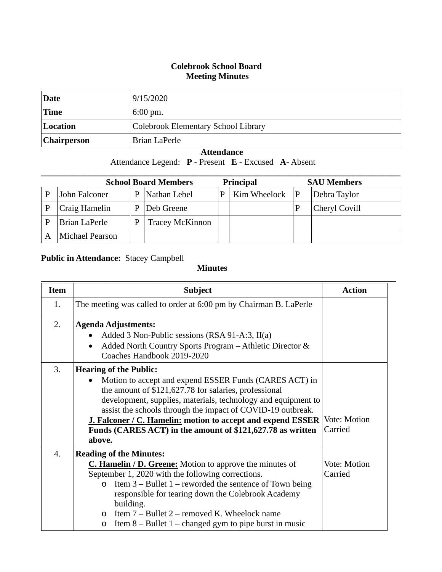## **Colebrook School Board Meeting Minutes**

| Date               | 9/15/2020                           |
|--------------------|-------------------------------------|
| <b>Time</b>        | $6:00 \text{ pm}$ .                 |
| Location           | Colebrook Elementary School Library |
| <b>Chairperson</b> | Brian LaPerle                       |

## **Attendance**

Attendance Legend: **P** - Present **E** - Excused **A**- Absent

| <b>School Board Members</b> |                        |   |                        | <b>Principal</b> | <b>SAU Members</b> |  |               |
|-----------------------------|------------------------|---|------------------------|------------------|--------------------|--|---------------|
|                             | John Falconer          | P | Nathan Lebel           |                  | Kim Wheelock $ P $ |  | Debra Taylor  |
|                             | Craig Hamelin          | P | Deb Greene             |                  |                    |  | Cheryl Covill |
|                             | <b>Brian LaPerle</b>   | P | <b>Tracey McKinnon</b> |                  |                    |  |               |
|                             | <b>Michael Pearson</b> |   |                        |                  |                    |  |               |

## **Public in Attendance:** Stacey Campbell

## **Minutes**

| <b>Item</b>      | <b>Subject</b>                                                                  | <b>Action</b>       |  |  |  |
|------------------|---------------------------------------------------------------------------------|---------------------|--|--|--|
| 1.               | The meeting was called to order at 6:00 pm by Chairman B. LaPerle               |                     |  |  |  |
|                  |                                                                                 |                     |  |  |  |
| 2.               | <b>Agenda Adjustments:</b>                                                      |                     |  |  |  |
|                  | Added 3 Non-Public sessions (RSA 91-A:3, $II(a)$ )<br>$\bullet$                 |                     |  |  |  |
|                  | Added North Country Sports Program - Athletic Director &<br>$\bullet$           |                     |  |  |  |
|                  | Coaches Handbook 2019-2020                                                      |                     |  |  |  |
| 3.               | <b>Hearing of the Public:</b>                                                   |                     |  |  |  |
|                  | Motion to accept and expend ESSER Funds (CARES ACT) in<br>$\bullet$             |                     |  |  |  |
|                  | the amount of \$121,627.78 for salaries, professional                           |                     |  |  |  |
|                  | development, supplies, materials, technology and equipment to                   |                     |  |  |  |
|                  | assist the schools through the impact of COVID-19 outbreak.                     |                     |  |  |  |
|                  | J. Falconer / C. Hamelin: motion to accept and expend ESSER                     | <b>Vote: Motion</b> |  |  |  |
|                  | Carried<br>Funds (CARES ACT) in the amount of \$121,627.78 as written           |                     |  |  |  |
|                  | above.                                                                          |                     |  |  |  |
| $\overline{4}$ . | <b>Reading of the Minutes:</b>                                                  |                     |  |  |  |
|                  | <b>C. Hamelin / D. Greene:</b> Motion to approve the minutes of<br>Vote: Motion |                     |  |  |  |
|                  | September 1, 2020 with the following corrections.                               | Carried             |  |  |  |
|                  | Item $3$ – Bullet 1 – reworded the sentence of Town being<br>$\Omega$           |                     |  |  |  |
|                  | responsible for tearing down the Colebrook Academy                              |                     |  |  |  |
|                  | building.                                                                       |                     |  |  |  |
|                  | Item 7 – Bullet 2 – removed K. Wheelock name<br>$\circ$                         |                     |  |  |  |
|                  | Item $8 -$ Bullet 1 – changed gym to pipe burst in music<br>$\circ$             |                     |  |  |  |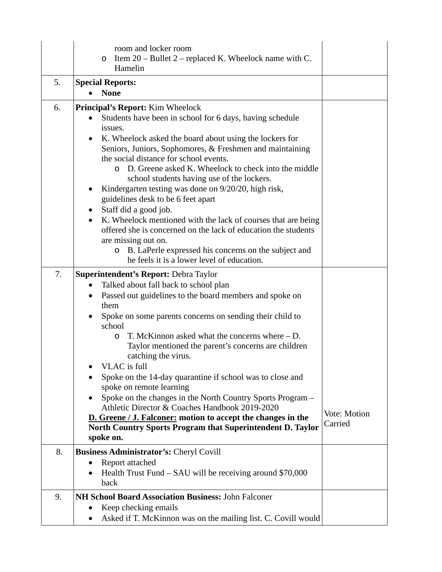|    | room and locker room<br>Item $20$ – Bullet 2 – replaced K. Wheelock name with C.<br>$\circ$<br>Hamelin                                                                                                                                                                                                                                                                                                                                                                                                                                                                                                                                                                                                                                                                                                      |                         |
|----|-------------------------------------------------------------------------------------------------------------------------------------------------------------------------------------------------------------------------------------------------------------------------------------------------------------------------------------------------------------------------------------------------------------------------------------------------------------------------------------------------------------------------------------------------------------------------------------------------------------------------------------------------------------------------------------------------------------------------------------------------------------------------------------------------------------|-------------------------|
| 5. | <b>Special Reports:</b><br><b>None</b>                                                                                                                                                                                                                                                                                                                                                                                                                                                                                                                                                                                                                                                                                                                                                                      |                         |
| 6. | <b>Principal's Report:</b> Kim Wheelock<br>Students have been in school for 6 days, having schedule<br>$\bullet$<br>issues.<br>K. Wheelock asked the board about using the lockers for<br>Seniors, Juniors, Sophomores, & Freshmen and maintaining<br>the social distance for school events.<br>D. Greene asked K. Wheelock to check into the middle<br>$\circ$<br>school students having use of the lockers.<br>Kindergarten testing was done on 9/20/20, high risk,<br>guidelines desk to be 6 feet apart<br>Staff did a good job.<br>$\bullet$<br>K. Wheelock mentioned with the lack of courses that are being<br>offered she is concerned on the lack of education the students<br>are missing out on.<br>B. LaPerle expressed his concerns on the subject and<br>$\circ$                              |                         |
| 7. | he feels it is a lower level of education.<br>Superintendent's Report: Debra Taylor<br>Talked about fall back to school plan<br>$\bullet$<br>Passed out guidelines to the board members and spoke on<br>$\bullet$<br>them<br>Spoke on some parents concerns on sending their child to<br>school<br>T. McKinnon asked what the concerns where $- D$ .<br>O<br>Taylor mentioned the parent's concerns are children<br>catching the virus.<br>VLAC is full<br>Spoke on the 14-day quarantine if school was to close and<br>spoke on remote learning<br>Spoke on the changes in the North Country Sports Program -<br>Athletic Director & Coaches Handbook 2019-2020<br>D. Greene / J. Falconer: motion to accept the changes in the<br>North Country Sports Program that Superintendent D. Taylor<br>spoke on. | Vote: Motion<br>Carried |
| 8. | <b>Business Administrator's: Cheryl Covill</b><br>Report attached<br>Health Trust Fund – SAU will be receiving around \$70,000<br>back                                                                                                                                                                                                                                                                                                                                                                                                                                                                                                                                                                                                                                                                      |                         |
| 9. | NH School Board Association Business: John Falconer<br>Keep checking emails<br>Asked if T. McKinnon was on the mailing list. C. Covill would                                                                                                                                                                                                                                                                                                                                                                                                                                                                                                                                                                                                                                                                |                         |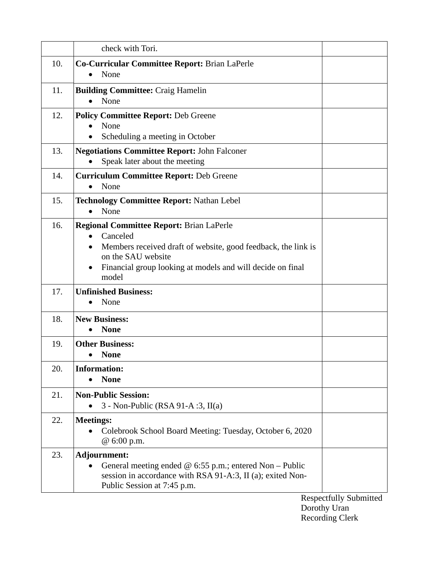|     | check with Tori.                                                                                                                                                                                                          |
|-----|---------------------------------------------------------------------------------------------------------------------------------------------------------------------------------------------------------------------------|
| 10. | <b>Co-Curricular Committee Report: Brian LaPerle</b><br>None                                                                                                                                                              |
| 11. | <b>Building Committee: Craig Hamelin</b><br>None                                                                                                                                                                          |
| 12. | <b>Policy Committee Report: Deb Greene</b><br>None<br>Scheduling a meeting in October<br>٠                                                                                                                                |
| 13. | <b>Negotiations Committee Report: John Falconer</b><br>Speak later about the meeting                                                                                                                                      |
| 14. | <b>Curriculum Committee Report: Deb Greene</b><br>None<br>$\bullet$                                                                                                                                                       |
| 15. | <b>Technology Committee Report: Nathan Lebel</b><br>None<br>$\bullet$                                                                                                                                                     |
| 16. | <b>Regional Committee Report: Brian LaPerle</b><br>Canceled<br>Members received draft of website, good feedback, the link is<br>on the SAU website<br>Financial group looking at models and will decide on final<br>model |
| 17. | <b>Unfinished Business:</b><br>None<br>$\bullet$                                                                                                                                                                          |
| 18. | <b>New Business:</b><br><b>None</b>                                                                                                                                                                                       |
| 19. | <b>Other Business:</b><br><b>None</b>                                                                                                                                                                                     |
| 20. | <b>Information:</b><br><b>None</b>                                                                                                                                                                                        |
| 21. | <b>Non-Public Session:</b><br>$3$ - Non-Public (RSA 91-A :3, II(a)                                                                                                                                                        |
| 22. | <b>Meetings:</b><br>Colebrook School Board Meeting: Tuesday, October 6, 2020<br>@ 6:00 p.m.                                                                                                                               |
| 23. | Adjournment:<br>General meeting ended $@$ 6:55 p.m.; entered Non – Public<br>session in accordance with RSA 91-A:3, II (a); exited Non-<br>Public Session at 7:45 p.m.                                                    |

Respectfully Submitted Dorothy Uran Recording Clerk